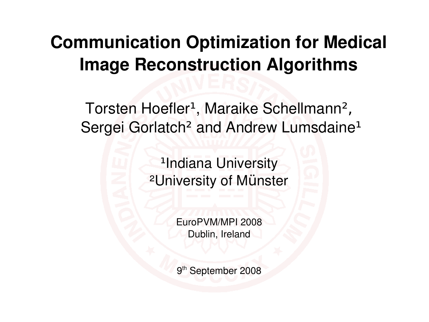#### **Communication Optimization for Medical Image Reconstruction Algorithms**

Torsten Hoefler<sup>1</sup>, Maraike Schellmann<sup>2</sup>, Sergei Gorlatch<sup>2</sup> and Andrew Lumsdaine<sup>1</sup>

> <sup>1</sup>Indiana University ²University of Münster

> > EuroPVM/MPI 2008 Dublin, Ireland

9<sup>th</sup> September 2008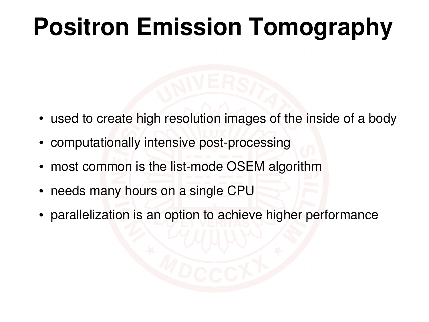# **Positron Emission Tomography**

- used to create high resolution images of the inside of a body
- computationally intensive post-processing
- most common is the list-mode OSEM algorithm
- needs many hours on a single CPU
- parallelization is an option to achieve higher performance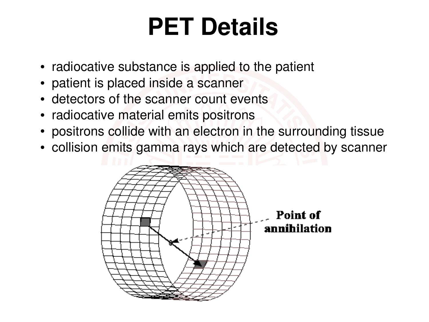#### **PET Details**

- radiocative substance is applied to the patient
- patient is placed inside a scanner
- detectors of the scanner count events
- radiocative material emits positrons
- positrons collide with an electron in the surrounding tissue
- collision emits gamma rays which are detected by scanner

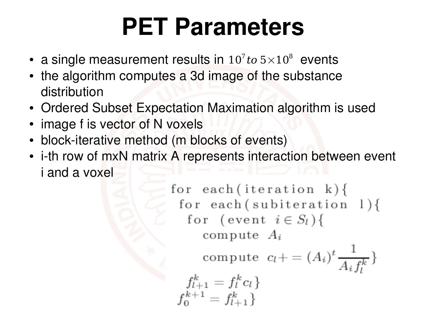#### **PET Parameters**

- a single measurement results in  $10^7$  to  $5\times10^8$  events
- the algorithm computes a 3d image of the substance distribution
- Ordered Subset Expectation Maximation algorithm is used
- image f is vector of N voxels
- block-iterative method (m blocks of events)
- i-th row of mxN matrix A represents interaction between event i and a voxel

for each (iteration k) {\n for each (subiteration 1) {\n for (event 
$$
i \in S_l
$$
) {\n compute  $A_i$ \n compute  $c_l += (A_i)^t \frac{1}{A_i f_l^k}$ \n\n  $f_{l+1}^k = f_l^k c_l$ \n  $f_0^{k+1} = f_{l+1}^k$ \n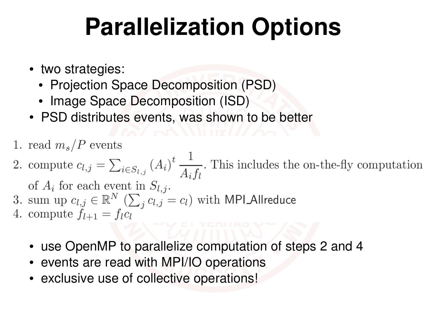## **Parallelization Options**

- two strategies:
	- Projection Space Decomposition (PSD)
	- Image Space Decomposition (ISD)
- PSD distributes events, was shown to be better
- 1. read  $m_s/P$  events
- 2. compute  $c_{l,j} = \sum_{i \in S_{l,j}} (A_i)^t \frac{1}{A_i f_l}$ . This includes the on-the-fly computation

of  $A_i$  for each event in  $S_{l,j}$ .

- 3. sum up  $c_{l,j} \in \mathbb{R}^N$   $(\sum_i c_{l,j} = c_l)$  with MPI Allreduce
- 4. compute  $f_{l+1} = f_l c_l$ 
	- use OpenMP to parallelize computation of steps 2 and 4
	- events are read with MPI/IO operations
	- exclusive use of collective operations!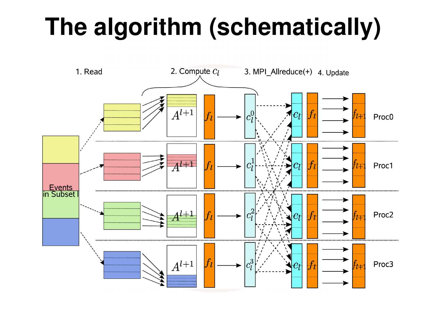# **The algorithm (schematically)**

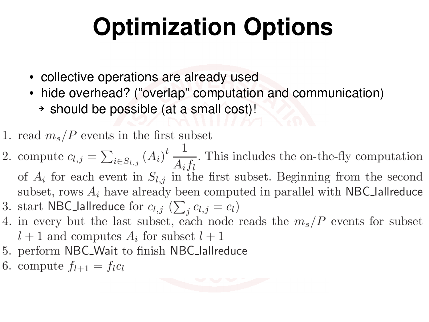# **Optimization Options**

- collective operations are already used
- hide overhead? ("overlap" computation and communication)
	- ➔ should be possible (at a small cost)!
- 1. read  $m_s/P$  events in the first subset
- 2. compute  $c_{l,j} = \sum_{i \in S_{l,j}} (A_i)^t \frac{1}{A_i f_l}$ . This includes the on-the-fly computation of  $A_i$  for each event in  $S_{l,j}$  in the first subset. Beginning from the second subset, rows  $A_i$  have already been computed in parallel with NBC lallreduce 3. start NBC\_lallreduce for  $c_{l,j}$  ( $\sum_i c_{l,j} = c_l$ )
- 4. in every but the last subset, each node reads the  $m_s/P$  events for subset  $l+1$  and computes  $A_i$  for subset  $l+1$
- 5. perform NBC\_Wait to finish NBC\_lallreduce
- 6. compute  $f_{l+1} = f_l c_l$

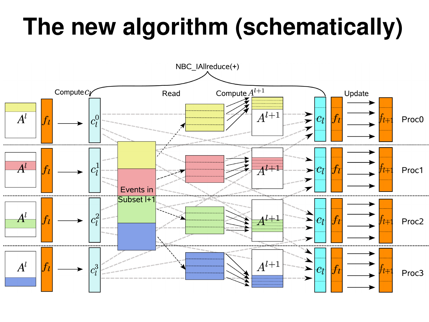# **The new algorithm (schematically)**

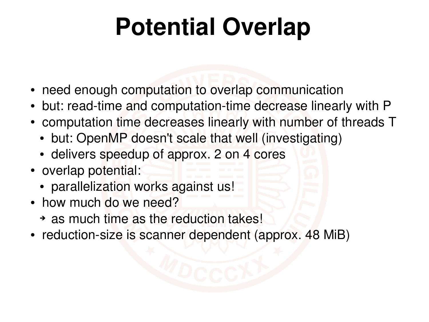# **Potential Overlap**

- need enough computation to overlap communication
- but: read-time and computation-time decrease linearly with P
- computation time decreases linearly with number of threads T
	- but: OpenMP doesn't scale that well (investigating)
	- delivers speedup of approx. 2 on 4 cores
- overlap potential:
	- parallelization works against us!
- how much do we need?
	- ➔ as much time as the reduction takes!
- reduction-size is scanner dependent (approx. 48 MiB)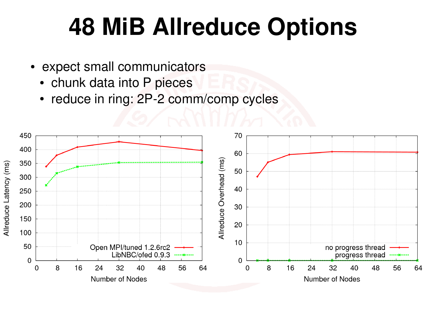#### **48 MiB Allreduce Options**

- expect small communicators
	- chunk data into P pieces
	- reduce in ring: 2P-2 comm/comp cycles

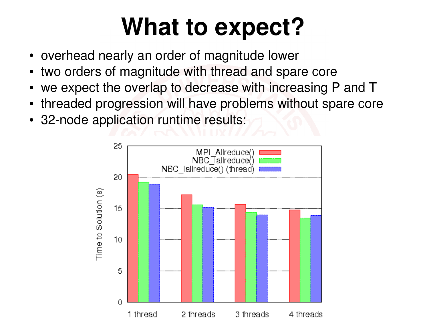# **What to expect?**

- overhead nearly an order of magnitude lower
- two orders of magnitude with thread and spare core
- we expect the overlap to decrease with increasing P and T
- threaded progression will have problems without spare core
- 32-node application runtime results:

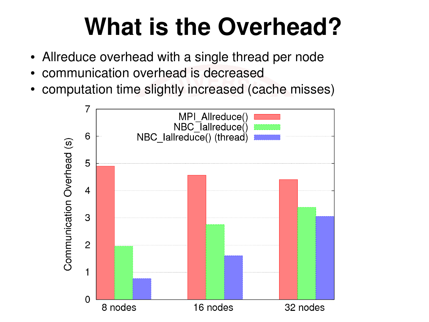# **What is the Overhead?**

- Allreduce overhead with a single thread per node
- communication overhead is decreased
- computation time slightly increased (cache misses)